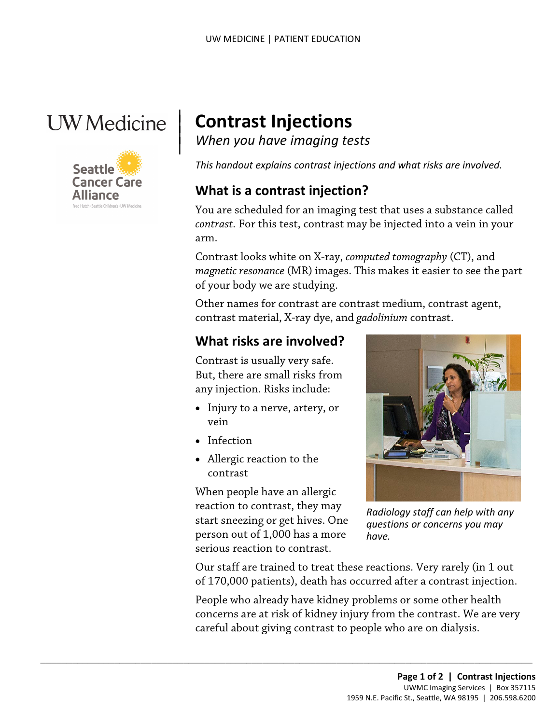## **UW** Medicine

|



# <sup>|</sup>**Contrast Injections** | *When you have imaging tests* <sup>|</sup>

*This handout explains contrast injections and what risks are involved.* 

#### **What is a contrast injection?**

arm. You are scheduled for an imaging test that uses a substance called *contrast.* For this test, contrast may be injected into a vein in your

of your body we are studying. Contrast looks white on X-ray, *computed tomography* (CT), and *magnetic resonance* (MR) images. This makes it easier to see the part

 contrast material, X-ray dye, and *gadolinium* contrast. Other names for contrast are contrast medium, contrast agent,

### **What risks are involved?**

Contrast is usually very safe. But, there are small risks from any injection. Risks include:

- Injury to a nerve, artery, or vein
- Infection
- Allergic reaction to the contrast

When people have an allergic reaction to contrast, they may start sneezing or get hives. One person out of 1,000 has a more serious reaction to contrast.

 $\_$  ,  $\_$  ,  $\_$  ,  $\_$  ,  $\_$  ,  $\_$  ,  $\_$  ,  $\_$  ,  $\_$  ,  $\_$  ,  $\_$  ,  $\_$  ,  $\_$  ,  $\_$  ,  $\_$  ,  $\_$  ,  $\_$  ,  $\_$  ,  $\_$  ,  $\_$  ,  $\_$  ,  $\_$  ,  $\_$  ,  $\_$  ,  $\_$  ,  $\_$  ,  $\_$  ,  $\_$  ,  $\_$  ,  $\_$  ,  $\_$  ,  $\_$  ,  $\_$  ,  $\_$  ,  $\_$  ,  $\_$  ,  $\_$  ,



 *Radiology staff can help with any questions or concerns you may have.* 

Our staff are trained to treat these reactions. Very rarely (in 1 out of 170,000 patients), death has occurred after a contrast injection.

People who already have kidney problems or some other health concerns are at risk of kidney injury from the contrast. We are very careful about giving contrast to people who are on dialysis.